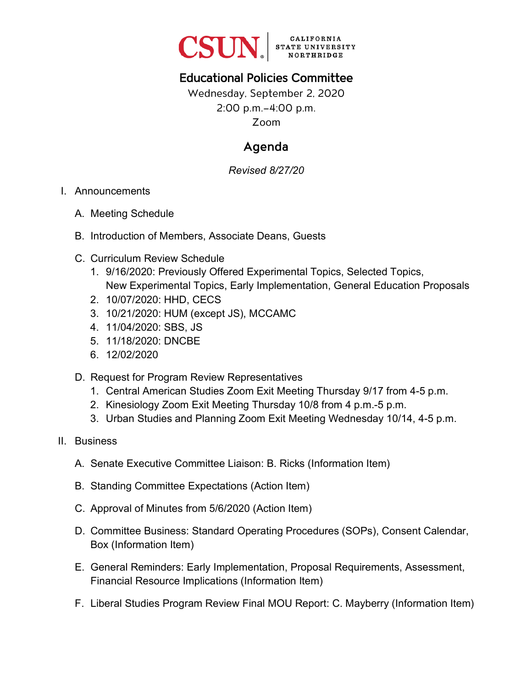

## Educational Policies Committee

Wednesday, September 2, 2020 2:00 p.m.–4:00 p.m. Zoom

## Agenda

*Revised 8/27/20*

## I. Announcements

- A. Meeting Schedule
- B. Introduction of Members, Associate Deans, Guests
- C. Curriculum Review Schedule
	- 1. 9/16/2020: Previously Offered Experimental Topics, Selected Topics, New Experimental Topics, Early Implementation, General Education Proposals
	- 2. 10/07/2020: HHD, CECS
	- 3. 10/21/2020: HUM (except JS), MCCAMC
	- 4. 11/04/2020: SBS, JS
	- 5. 11/18/2020: DNCBE
	- 6. 12/02/2020
- D. Request for Program Review Representatives
	- 1. Central American Studies Zoom Exit Meeting Thursday 9/17 from 4-5 p.m.
	- 2. Kinesiology Zoom Exit Meeting Thursday 10/8 from 4 p.m.-5 p.m.
	- 3. Urban Studies and Planning Zoom Exit Meeting Wednesday 10/14, 4-5 p.m.
- II. Business
	- A. Senate Executive Committee Liaison: B. Ricks (Information Item)
	- B. Standing Committee Expectations (Action Item)
	- C. Approval of Minutes from 5/6/2020 (Action Item)
	- D. Committee Business: Standard Operating Procedures (SOPs), Consent Calendar, Box (Information Item)
	- E. General Reminders: Early Implementation, Proposal Requirements, Assessment, Financial Resource Implications (Information Item)
	- F. Liberal Studies Program Review Final MOU Report: C. Mayberry (Information Item)